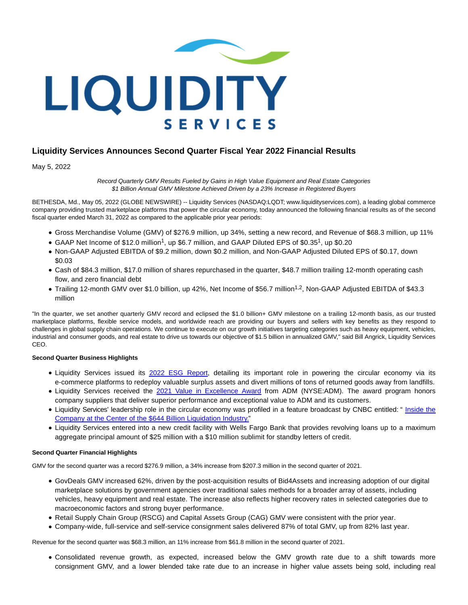

# **Liquidity Services Announces Second Quarter Fiscal Year 2022 Financial Results**

May 5, 2022

Record Quarterly GMV Results Fueled by Gains in High Value Equipment and Real Estate Categories \$1 Billion Annual GMV Milestone Achieved Driven by a 23% Increase in Registered Buyers

BETHESDA, Md., May 05, 2022 (GLOBE NEWSWIRE) -- Liquidity Services (NASDAQ:LQDT; www.liquidityservices.com), a leading global commerce company providing trusted marketplace platforms that power the circular economy, today announced the following financial results as of the second fiscal quarter ended March 31, 2022 as compared to the applicable prior year periods:

- Gross Merchandise Volume (GMV) of \$276.9 million, up 34%, setting a new record, and Revenue of \$68.3 million, up 11%
- GAAP Net Income of \$12.0 million<sup>1</sup>, up \$6.7 million, and GAAP Diluted EPS of \$0.35<sup>1</sup>, up \$0.20
- Non-GAAP Adjusted EBITDA of \$9.2 million, down \$0.2 million, and Non-GAAP Adjusted Diluted EPS of \$0.17, down \$0.03
- Cash of \$84.3 million, \$17.0 million of shares repurchased in the quarter, \$48.7 million trailing 12-month operating cash flow, and zero financial debt
- Trailing 12-month GMV over \$1.0 billion, up 42%, Net Income of \$56.7 million<sup>1,2</sup>, Non-GAAP Adjusted EBITDA of \$43.3 million

"In the quarter, we set another quarterly GMV record and eclipsed the \$1.0 billion+ GMV milestone on a trailing 12-month basis, as our trusted marketplace platforms, flexible service models, and worldwide reach are providing our buyers and sellers with key benefits as they respond to challenges in global supply chain operations. We continue to execute on our growth initiatives targeting categories such as heavy equipment, vehicles, industrial and consumer goods, and real estate to drive us towards our objective of \$1.5 billion in annualized GMV," said Bill Angrick, Liquidity Services CEO.

## **Second Quarter Business Highlights**

- Liquidity Services issued its [2022 ESG Report,](https://investors.liquidityservices.com/static-files/ed6751e1-26cf-40e4-be04-7e6630bd420f) detailing its important role in powering the circular economy via its e-commerce platforms to redeploy valuable surplus assets and divert millions of tons of returned goods away from landfills.
- Liquidity Services received the [2021 Value in Excellence Award](https://investors.liquidityservices.com/news-releases/news-release-details/adm-names-liquidity-services-2021-supplier-award-winner) from ADM (NYSE:ADM). The award program honors company suppliers that deliver superior performance and exceptional value to ADM and its customers.
- Liquidity Services' leadership role in the circular economy was profiled in a feature broadcast by CNBC entitled: " [Inside the](https://www.cnbc.com/2022/02/19/liquidation-services-resell-returned-items-a-644-billion-business.html) Company at the Center of the \$644 Billion Liquidation Industry."
- Liquidity Services entered into a new credit facility with Wells Fargo Bank that provides revolving loans up to a maximum aggregate principal amount of \$25 million with a \$10 million sublimit for standby letters of credit.

## **Second Quarter Financial Highlights**

GMV for the second quarter was a record \$276.9 million, a 34% increase from \$207.3 million in the second quarter of 2021.

- GovDeals GMV increased 62%, driven by the post-acquisition results of Bid4Assets and increasing adoption of our digital marketplace solutions by government agencies over traditional sales methods for a broader array of assets, including vehicles, heavy equipment and real estate. The increase also reflects higher recovery rates in selected categories due to macroeconomic factors and strong buyer performance.
- Retail Supply Chain Group (RSCG) and Capital Assets Group (CAG) GMV were consistent with the prior year.
- Company-wide, full-service and self-service consignment sales delivered 87% of total GMV, up from 82% last year.

Revenue for the second quarter was \$68.3 million, an 11% increase from \$61.8 million in the second quarter of 2021.

Consolidated revenue growth, as expected, increased below the GMV growth rate due to a shift towards more consignment GMV, and a lower blended take rate due to an increase in higher value assets being sold, including real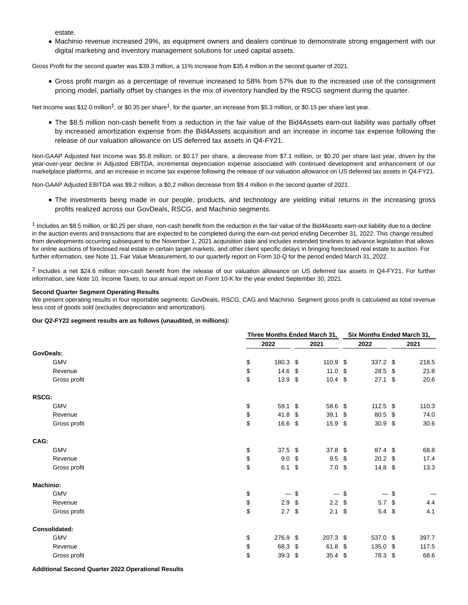estate.

Machinio revenue increased 29%, as equipment owners and dealers continue to demonstrate strong engagement with our digital marketing and inventory management solutions for used capital assets.

Gross Profit for the second quarter was \$39.3 million, a 11% increase from \$35.4 million in the second quarter of 2021.

Gross profit margin as a percentage of revenue increased to 58% from 57% due to the increased use of the consignment pricing model, partially offset by changes in the mix of inventory handled by the RSCG segment during the quarter.

Net Income was \$12.0 million<sup>1</sup>, or \$0.35 per share<sup>1</sup>, for the quarter, an increase from \$5.3 million, or \$0.15 per share last year.

The \$8.5 million non-cash benefit from a reduction in the fair value of the Bid4Assets earn-out liability was partially offset by increased amortization expense from the Bid4Assets acquisition and an increase in income tax expense following the release of our valuation allowance on US deferred tax assets in Q4-FY21.

Non-GAAP Adjusted Net Income was \$5.8 million, or \$0.17 per share, a decrease from \$7.1 million, or \$0.20 per share last year, driven by the year-over-year decline in Adjusted EBITDA, incremental depreciation expense associated with continued development and enhancement of our marketplace platforms, and an increase in income tax expense following the release of our valuation allowance on US deferred tax assets in Q4-FY21.

Non-GAAP Adjusted EBITDA was \$9.2 million, a \$0.2 million decrease from \$9.4 million in the second quarter of 2021.

The investments being made in our people, products, and technology are yielding initial returns in the increasing gross profits realized across our GovDeals, RSCG, and Machinio segments.

 $1$  Includes an \$8.5 million, or \$0.25 per share, non-cash benefit from the reduction in the fair value of the Bid4Assets earn-out liability due to a decline in the auction events and transactions that are expected to be completed during the earn-out period ending December 31, 2022. This change resulted from developments occurring subsequent to the November 1, 2021 acquisition date and includes extended timelines to advance legislation that allows for online auctions of foreclosed real estate in certain target markets, and other client specific delays in bringing foreclosed real estate to auction. For further information, see Note 11, Fair Value Measurement, to our quarterly report on Form 10-Q for the period ended March 31, 2022.

2 Includes a net \$24.6 million non-cash benefit from the release of our valuation allowance on US deferred tax assets in Q4-FY21. For further information, see Note 10, Income Taxes, to our annual report on Form 10-K for the year ended September 30, 2021.

## **Second Quarter Segment Operating Results**

We present operating results in four reportable segments: GovDeals, RSCG, CAG and Machinio. Segment gross profit is calculated as total revenue less cost of goods sold (excludes depreciation and amortization).

## **Our Q2-FY22 segment results are as follows (unaudited, in millions):**

|                  |      | Three Months Ended March 31, |    |                   | Six Months Ended March 31, |                   |     |       |
|------------------|------|------------------------------|----|-------------------|----------------------------|-------------------|-----|-------|
|                  |      | 2022                         |    | 2021              |                            | 2022              |     | 2021  |
| <b>GovDeals:</b> |      |                              |    |                   |                            |                   |     |       |
| <b>GMV</b>       | \$   | 180.3 \$                     |    | $110.9$ \$        |                            | 337.2 \$          |     | 218.5 |
| Revenue          | \$   | $14.6$ \$                    |    | 11.0 $$$          |                            | 28.5 \$           |     | 21.8  |
| Gross profit     | \$   | $13.9$ \$                    |    | $10.4 \text{ } $$ |                            | $27.1$ \$         |     | 20.6  |
| RSCG:            |      |                              |    |                   |                            |                   |     |       |
| <b>GMV</b>       | \$   | 59.1 \$                      |    | 58.6 \$           |                            | $112.5$ \$        |     | 110.3 |
| Revenue          | \$   | 41.8 \$                      |    | 39.1 <sup>5</sup> |                            | 80.5 \$           |     | 74.0  |
| Gross profit     | $\,$ | 16.6 \$                      |    | $15.9$ \$         |                            | 30.9 <sup>5</sup> |     | 30.6  |
| CAG:             |      |                              |    |                   |                            |                   |     |       |
| <b>GMV</b>       | \$   | 37.5 $$$                     |    | 37.8 $$$          |                            | $87.4$ \$         |     | 68.8  |
| Revenue          | \$   | $9.0\frac{6}{9}$             |    | $9.5$ \$          |                            | $20.2$ \$         |     | 17.4  |
| Gross profit     | $\,$ | 6.1                          | \$ | $7.0$ \$          |                            | 14.8 <sup>°</sup> |     | 13.3  |
| <b>Machinio:</b> |      |                              |    |                   |                            |                   |     |       |
| <b>GMV</b>       | \$   | $-$ \$                       |    |                   | \$                         |                   | -\$ |       |
| Revenue          | $\,$ | $2.9$ \$                     |    | $2.2$ \$          |                            | $5.7$ \$          |     | 4.4   |
| Gross profit     | \$   | $2.7$ \$                     |    | $2.1 \text{ } $$  |                            | $5.4$ \$          |     | 4.1   |
| Consolidated:    |      |                              |    |                   |                            |                   |     |       |
| <b>GMV</b>       | \$   | 276.9 \$                     |    | 207.3 \$          |                            | 537.0 \$          |     | 397.7 |
| Revenue          | \$   | 68.3 \$                      |    | 61.8              | \$                         | 135.0 \$          |     | 117.5 |
| Gross profit     | \$   | 39.3 \$                      |    | $35.4$ \$         |                            | 78.3 \$           |     | 68.6  |

**Additional Second Quarter 2022 Operational Results**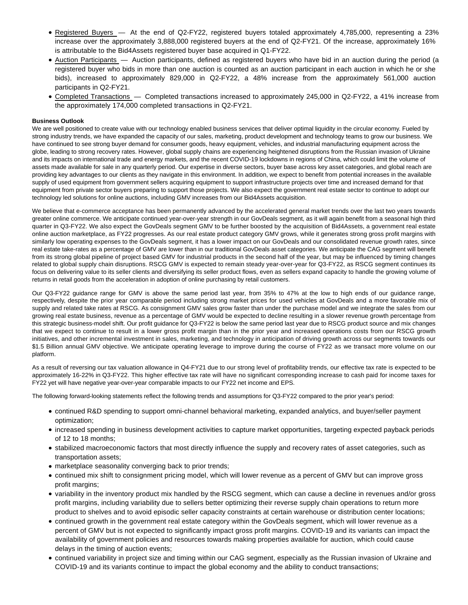- Registered Buyers At the end of Q2-FY22, registered buyers totaled approximately 4,785,000, representing a 23% increase over the approximately 3,888,000 registered buyers at the end of Q2-FY21. Of the increase, approximately 16% is attributable to the Bid4Assets registered buyer base acquired in Q1-FY22.
- Auction Participants Auction participants, defined as registered buyers who have bid in an auction during the period (a registered buyer who bids in more than one auction is counted as an auction participant in each auction in which he or she bids), increased to approximately 829,000 in Q2-FY22, a 48% increase from the approximately 561,000 auction participants in Q2-FY21.
- Completed Transactions Completed transactions increased to approximately 245,000 in Q2-FY22, a 41% increase from the approximately 174,000 completed transactions in Q2-FY21.

# **Business Outlook**

We are well positioned to create value with our technology enabled business services that deliver optimal liquidity in the circular economy. Fueled by strong industry trends, we have expanded the capacity of our sales, marketing, product development and technology teams to grow our business. We have continued to see strong buyer demand for consumer goods, heavy equipment, vehicles, and industrial manufacturing equipment across the globe, leading to strong recovery rates. However, global supply chains are experiencing heightened disruptions from the Russian invasion of Ukraine and its impacts on international trade and energy markets, and the recent COVID-19 lockdowns in regions of China, which could limit the volume of assets made available for sale in any quarterly period. Our expertise in diverse sectors, buyer base across key asset categories, and global reach are providing key advantages to our clients as they navigate in this environment. In addition, we expect to benefit from potential increases in the available supply of used equipment from government sellers acquiring equipment to support infrastructure projects over time and increased demand for that equipment from private sector buyers preparing to support those projects. We also expect the government real estate sector to continue to adopt our technology led solutions for online auctions, including GMV increases from our Bid4Assets acquisition.

We believe that e-commerce acceptance has been permanently advanced by the accelerated general market trends over the last two years towards greater online commerce. We anticipate continued year-over-year strength in our GovDeals segment, as it will again benefit from a seasonal high third quarter in Q3-FY22. We also expect the GovDeals segment GMV to be further boosted by the acquisition of Bid4Assets, a government real estate online auction marketplace, as FY22 progresses. As our real estate product category GMV grows, while it generates strong gross profit margins with similarly low operating expenses to the GovDeals segment, it has a lower impact on our GovDeals and our consolidated revenue growth rates, since real estate take-rates as a percentage of GMV are lower than in our traditional GovDeals asset categories. We anticipate the CAG segment will benefit from its strong global pipeline of project based GMV for industrial products in the second half of the year, but may be influenced by timing changes related to global supply chain disruptions. RSCG GMV is expected to remain steady year-over-year for Q3-FY22, as RSCG segment continues its focus on delivering value to its seller clients and diversifying its seller product flows, even as sellers expand capacity to handle the growing volume of returns in retail goods from the acceleration in adoption of online purchasing by retail customers.

Our Q3-FY22 guidance range for GMV is above the same period last year, from 35% to 47% at the low to high ends of our guidance range, respectively, despite the prior year comparable period including strong market prices for used vehicles at GovDeals and a more favorable mix of supply and related take rates at RSCG. As consignment GMV sales grow faster than under the purchase model and we integrate the sales from our growing real estate business, revenue as a percentage of GMV would be expected to decline resulting in a slower revenue growth percentage from this strategic business-model shift. Our profit guidance for Q3-FY22 is below the same period last year due to RSCG product source and mix changes that we expect to continue to result in a lower gross profit margin than in the prior year and increased operations costs from our RSCG growth initiatives, and other incremental investment in sales, marketing, and technology in anticipation of driving growth across our segments towards our \$1.5 Billion annual GMV objective. We anticipate operating leverage to improve during the course of FY22 as we transact more volume on our platform.

As a result of reversing our tax valuation allowance in Q4-FY21 due to our strong level of profitability trends, our effective tax rate is expected to be approximately 16-22% in Q3-FY22. This higher effective tax rate will have no significant corresponding increase to cash paid for income taxes for FY22 yet will have negative year-over-year comparable impacts to our FY22 net income and EPS.

The following forward-looking statements reflect the following trends and assumptions for Q3-FY22 compared to the prior year's period:

- continued R&D spending to support omni-channel behavioral marketing, expanded analytics, and buyer/seller payment optimization;
- increased spending in business development activities to capture market opportunities, targeting expected payback periods of 12 to 18 months;
- stabilized macroeconomic factors that most directly influence the supply and recovery rates of asset categories, such as transportation assets;
- marketplace seasonality converging back to prior trends;
- continued mix shift to consignment pricing model, which will lower revenue as a percent of GMV but can improve gross profit margins;
- variability in the inventory product mix handled by the RSCG segment, which can cause a decline in revenues and/or gross profit margins, including variability due to sellers better optimizing their reverse supply chain operations to return more product to shelves and to avoid episodic seller capacity constraints at certain warehouse or distribution center locations;
- continued growth in the government real estate category within the GovDeals segment, which will lower revenue as a percent of GMV but is not expected to significantly impact gross profit margins. COVID-19 and its variants can impact the availability of government policies and resources towards making properties available for auction, which could cause delays in the timing of auction events;
- continued variability in project size and timing within our CAG segment, especially as the Russian invasion of Ukraine and COVID-19 and its variants continue to impact the global economy and the ability to conduct transactions;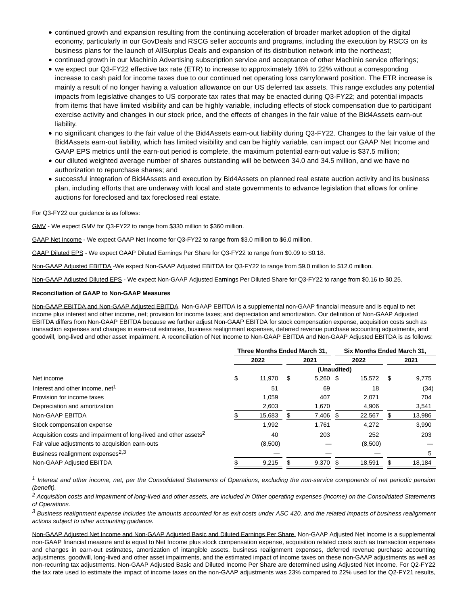- continued growth and expansion resulting from the continuing acceleration of broader market adoption of the digital economy, particularly in our GovDeals and RSCG seller accounts and programs, including the execution by RSCG on its business plans for the launch of AllSurplus Deals and expansion of its distribution network into the northeast;
- continued growth in our Machinio Advertising subscription service and acceptance of other Machinio service offerings;
- we expect our Q3-FY22 effective tax rate (ETR) to increase to approximately 16% to 22% without a corresponding increase to cash paid for income taxes due to our continued net operating loss carryforward position. The ETR increase is mainly a result of no longer having a valuation allowance on our US deferred tax assets. This range excludes any potential impacts from legislative changes to US corporate tax rates that may be enacted during Q3-FY22; and potential impacts from items that have limited visibility and can be highly variable, including effects of stock compensation due to participant exercise activity and changes in our stock price, and the effects of changes in the fair value of the Bid4Assets earn-out liability.
- no significant changes to the fair value of the Bid4Assets earn-out liability during Q3-FY22. Changes to the fair value of the Bid4Assets earn-out liability, which has limited visibility and can be highly variable, can impact our GAAP Net Income and GAAP EPS metrics until the earn-out period is complete, the maximum potential earn-out value is \$37.5 million;
- our diluted weighted average number of shares outstanding will be between 34.0 and 34.5 million, and we have no authorization to repurchase shares; and
- successful integration of Bid4Assets and execution by Bid4Assets on planned real estate auction activity and its business plan, including efforts that are underway with local and state governments to advance legislation that allows for online auctions for foreclosed and tax foreclosed real estate.

For Q3-FY22 our guidance is as follows:

GMV - We expect GMV for Q3-FY22 to range from \$330 million to \$360 million.

GAAP Net Income - We expect GAAP Net Income for Q3-FY22 to range from \$3.0 million to \$6.0 million.

GAAP Diluted EPS - We expect GAAP Diluted Earnings Per Share for Q3-FY22 to range from \$0.09 to \$0.18.

Non-GAAP Adjusted EBITDA -We expect Non-GAAP Adjusted EBITDA for Q3-FY22 to range from \$9.0 million to \$12.0 million.

Non-GAAP Adjusted Diluted EPS - We expect Non-GAAP Adjusted Earnings Per Diluted Share for Q3-FY22 to range from \$0.16 to \$0.25.

## **Reconciliation of GAAP to Non-GAAP Measures**

Non-GAAP EBITDA and Non-GAAP Adjusted EBITDA. Non-GAAP EBITDA is a supplemental non-GAAP financial measure and is equal to net income plus interest and other income, net; provision for income taxes; and depreciation and amortization. Our definition of Non-GAAP Adjusted EBITDA differs from Non-GAAP EBITDA because we further adjust Non-GAAP EBITDA for stock compensation expense, acquisition costs such as transaction expenses and changes in earn-out estimates, business realignment expenses, deferred revenue purchase accounting adjustments, and goodwill, long-lived and other asset impairment. A reconciliation of Net Income to Non-GAAP EBITDA and Non-GAAP Adjusted EBITDA is as follows:

|                                                                              | Three Months Ended March 31. |         |      | <b>Six Months Ended March 31.</b> |      |         |     |        |
|------------------------------------------------------------------------------|------------------------------|---------|------|-----------------------------------|------|---------|-----|--------|
|                                                                              | 2022                         |         | 2021 |                                   | 2022 |         |     | 2021   |
|                                                                              |                              |         |      | (Unaudited)                       |      |         |     |        |
| Net income                                                                   | \$                           | 11,970  | S    | $5,260$ \$                        |      | 15,572  | - 5 | 9,775  |
| Interest and other income, net <sup>1</sup>                                  |                              | 51      |      | 69                                |      | 18      |     | (34)   |
| Provision for income taxes                                                   |                              | 1,059   |      | 407                               |      | 2,071   |     | 704    |
| Depreciation and amortization                                                |                              | 2,603   |      | 1,670                             |      | 4,906   |     | 3,541  |
| Non-GAAP EBITDA                                                              |                              | 15,683  | æ.   | 7,406                             | \$   | 22,567  | S   | 13,986 |
| Stock compensation expense                                                   |                              | 1,992   |      | 1,761                             |      | 4,272   |     | 3,990  |
| Acquisition costs and impairment of long-lived and other assets <sup>2</sup> |                              | 40      |      | 203                               |      | 252     |     | 203    |
| Fair value adjustments to acquisition earn-outs                              |                              | (8,500) |      |                                   |      | (8,500) |     |        |
| Business realignment expenses <sup>2,3</sup>                                 |                              |         |      |                                   |      |         |     | 5      |
| Non-GAAP Adjusted EBITDA                                                     |                              | 9,215   |      | 9,370                             |      | 18.591  |     | 18,184 |

 $<sup>1</sup>$  Interest and other income, net, per the Consolidated Statements of Operations, excluding the non-service components of net periodic pension</sup> (benefit).

<sup>2</sup> Acquisition costs and impairment of long-lived and other assets, are included in Other operating expenses (income) on the Consolidated Statements of Operations.

 $3$  Business realignment expense includes the amounts accounted for as exit costs under ASC 420, and the related impacts of business realignment actions subject to other accounting guidance.

Non-GAAP Adjusted Net Income and Non-GAAP Adjusted Basic and Diluted Earnings Per Share. Non-GAAP Adjusted Net Income is a supplemental non-GAAP financial measure and is equal to Net Income plus stock compensation expense, acquisition related costs such as transaction expenses and changes in earn-out estimates, amortization of intangible assets, business realignment expenses, deferred revenue purchase accounting adjustments, goodwill, long-lived and other asset impairments, and the estimated impact of income taxes on these non-GAAP adjustments as well as non-recurring tax adjustments. Non-GAAP Adjusted Basic and Diluted Income Per Share are determined using Adjusted Net Income. For Q2-FY22 the tax rate used to estimate the impact of income taxes on the non-GAAP adjustments was 23% compared to 22% used for the Q2-FY21 results,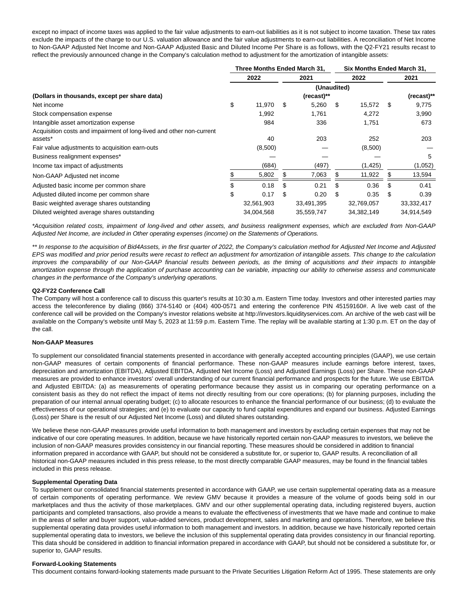except no impact of income taxes was applied to the fair value adjustments to earn-out liabilities as it is not subject to income taxation. These tax rates exclude the impacts of the charge to our U.S. valuation allowance and the fair value adjustments to earn-out liabilities. A reconciliation of Net Income to Non-GAAP Adjusted Net Income and Non-GAAP Adjusted Basic and Diluted Income Per Share is as follows, with the Q2-FY21 results recast to reflect the previously announced change in the Company's calculation method to adjustment for the amortization of intangible assets:

|                                                                                 | Three Months Ended March 31, |            |    | Six Months Ended March 31, |    |            |     |            |
|---------------------------------------------------------------------------------|------------------------------|------------|----|----------------------------|----|------------|-----|------------|
|                                                                                 |                              | 2022       |    | 2021                       |    | 2022       |     | 2021       |
|                                                                                 |                              |            |    | (Unaudited)                |    |            |     |            |
| (Dollars in thousands, except per share data)                                   |                              |            |    | (recast)**                 |    |            |     | (recast)** |
| Net income                                                                      | \$                           | 11,970     | S  | 5,260                      | \$ | 15,572     | \$  | 9,775      |
| Stock compensation expense                                                      |                              | 1,992      |    | 1,761                      |    | 4,272      |     | 3,990      |
| Intangible asset amortization expense                                           |                              | 984        |    | 336                        |    | 1,751      |     | 673        |
| Acquisition costs and impairment of long-lived and other non-current<br>assets* |                              | 40         |    | 203                        |    | 252        |     | 203        |
| Fair value adjustments to acquisition earn-outs                                 |                              | (8,500)    |    |                            |    | (8,500)    |     |            |
| Business realignment expenses*                                                  |                              |            |    |                            |    |            |     | 5          |
| Income tax impact of adjustments                                                |                              | (684)      |    | (497)                      |    | (1,425)    |     | (1,052)    |
| Non-GAAP Adjusted net income                                                    |                              | 5,802      |    | 7,063                      | S  | 11,922     |     | 13,594     |
| Adjusted basic income per common share                                          |                              | 0.18       | £. | 0.21                       | S  | 0.36       | \$. | 0.41       |
| Adjusted diluted income per common share                                        |                              | 0.17       | \$ | 0.20                       | \$ | 0.35       | \$  | 0.39       |
| Basic weighted average shares outstanding                                       |                              | 32,561,903 |    | 33,491,395                 |    | 32,769,057 |     | 33,332,417 |
| Diluted weighted average shares outstanding                                     |                              | 34,004,568 |    | 35,559,747                 |    | 34,382,149 |     | 34,914,549 |

\*Acquisition related costs, impairment of long-lived and other assets, and business realignment expenses, which are excluded from Non-GAAP Adjusted Net Income, are included in Other operating expenses (income) on the Statements of Operations.

\*\* In response to the acquisition of Bid4Assets, in the first quarter of 2022, the Company's calculation method for Adjusted Net Income and Adjusted EPS was modified and prior period results were recast to reflect an adjustment for amortization of intangible assets. This change to the calculation improves the comparability of our Non-GAAP financial results between periods, as the timing of acquisitions and their impacts to intangible amortization expense through the application of purchase accounting can be variable, impacting our ability to otherwise assess and communicate changes in the performance of the Company's underlying operations.

## **Q2-FY22 Conference Call**

The Company will host a conference call to discuss this quarter's results at 10:30 a.m. Eastern Time today. Investors and other interested parties may access the teleconference by dialing (866) 374-5140 or (404) 400-0571 and entering the conference PIN 45159160#. A live web cast of the conference call will be provided on the Company's investor relations website at http://investors.liquidityservices.com. An archive of the web cast will be available on the Company's website until May 5, 2023 at 11:59 p.m. Eastern Time. The replay will be available starting at 1:30 p.m. ET on the day of the call.

#### **Non-GAAP Measures**

To supplement our consolidated financial statements presented in accordance with generally accepted accounting principles (GAAP), we use certain non-GAAP measures of certain components of financial performance. These non-GAAP measures include earnings before interest, taxes, depreciation and amortization (EBITDA), Adjusted EBITDA, Adjusted Net Income (Loss) and Adjusted Earnings (Loss) per Share. These non-GAAP measures are provided to enhance investors' overall understanding of our current financial performance and prospects for the future. We use EBITDA and Adjusted EBITDA: (a) as measurements of operating performance because they assist us in comparing our operating performance on a consistent basis as they do not reflect the impact of items not directly resulting from our core operations; (b) for planning purposes, including the preparation of our internal annual operating budget; (c) to allocate resources to enhance the financial performance of our business; (d) to evaluate the effectiveness of our operational strategies; and (e) to evaluate our capacity to fund capital expenditures and expand our business. Adjusted Earnings (Loss) per Share is the result of our Adjusted Net Income (Loss) and diluted shares outstanding.

We believe these non-GAAP measures provide useful information to both management and investors by excluding certain expenses that may not be indicative of our core operating measures. In addition, because we have historically reported certain non-GAAP measures to investors, we believe the inclusion of non-GAAP measures provides consistency in our financial reporting. These measures should be considered in addition to financial information prepared in accordance with GAAP, but should not be considered a substitute for, or superior to, GAAP results. A reconciliation of all historical non-GAAP measures included in this press release, to the most directly comparable GAAP measures, may be found in the financial tables included in this press release.

#### **Supplemental Operating Data**

To supplement our consolidated financial statements presented in accordance with GAAP, we use certain supplemental operating data as a measure of certain components of operating performance. We review GMV because it provides a measure of the volume of goods being sold in our marketplaces and thus the activity of those marketplaces. GMV and our other supplemental operating data, including registered buyers, auction participants and completed transactions, also provide a means to evaluate the effectiveness of investments that we have made and continue to make in the areas of seller and buyer support, value-added services, product development, sales and marketing and operations. Therefore, we believe this supplemental operating data provides useful information to both management and investors. In addition, because we have historically reported certain supplemental operating data to investors, we believe the inclusion of this supplemental operating data provides consistency in our financial reporting. This data should be considered in addition to financial information prepared in accordance with GAAP, but should not be considered a substitute for, or superior to, GAAP results.

#### **Forward-Looking Statements**

This document contains forward-looking statements made pursuant to the Private Securities Litigation Reform Act of 1995. These statements are only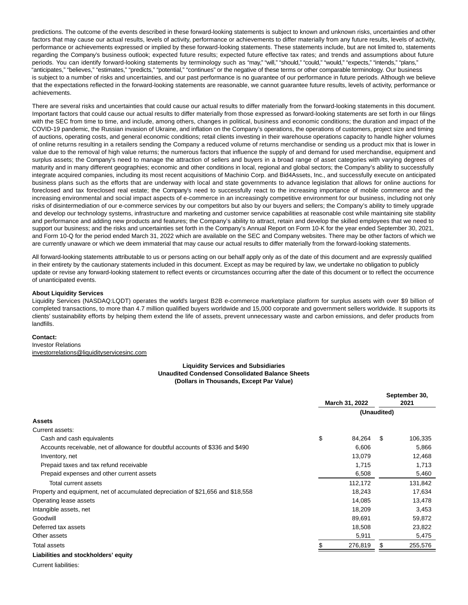predictions. The outcome of the events described in these forward-looking statements is subject to known and unknown risks, uncertainties and other factors that may cause our actual results, levels of activity, performance or achievements to differ materially from any future results, levels of activity, performance or achievements expressed or implied by these forward-looking statements. These statements include, but are not limited to, statements regarding the Company's business outlook; expected future results; expected future effective tax rates; and trends and assumptions about future periods. You can identify forward-looking statements by terminology such as "may," "will," "should," "could," "would," "expects," "intends," "plans," "anticipates," "believes," "estimates," "predicts," "potential," "continues" or the negative of these terms or other comparable terminology. Our business is subject to a number of risks and uncertainties, and our past performance is no guarantee of our performance in future periods. Although we believe that the expectations reflected in the forward-looking statements are reasonable, we cannot guarantee future results, levels of activity, performance or achievements.

There are several risks and uncertainties that could cause our actual results to differ materially from the forward-looking statements in this document. Important factors that could cause our actual results to differ materially from those expressed as forward-looking statements are set forth in our filings with the SEC from time to time, and include, among others, changes in political, business and economic conditions; the duration and impact of the COVID-19 pandemic, the Russian invasion of Ukraine, and inflation on the Company's operations, the operations of customers, project size and timing of auctions, operating costs, and general economic conditions; retail clients investing in their warehouse operations capacity to handle higher volumes of online returns resulting in a retailers sending the Company a reduced volume of returns merchandise or sending us a product mix that is lower in value due to the removal of high value returns; the numerous factors that influence the supply of and demand for used merchandise, equipment and surplus assets; the Company's need to manage the attraction of sellers and buyers in a broad range of asset categories with varying degrees of maturity and in many different geographies; economic and other conditions in local, regional and global sectors; the Company's ability to successfully integrate acquired companies, including its most recent acquisitions of Machinio Corp. and Bid4Assets, Inc., and successfully execute on anticipated business plans such as the efforts that are underway with local and state governments to advance legislation that allows for online auctions for foreclosed and tax foreclosed real estate; the Company's need to successfully react to the increasing importance of mobile commerce and the increasing environmental and social impact aspects of e-commerce in an increasingly competitive environment for our business, including not only risks of disintermediation of our e-commerce services by our competitors but also by our buyers and sellers; the Company's ability to timely upgrade and develop our technology systems, infrastructure and marketing and customer service capabilities at reasonable cost while maintaining site stability and performance and adding new products and features; the Company's ability to attract, retain and develop the skilled employees that we need to support our business; and the risks and uncertainties set forth in the Company's Annual Report on Form 10-K for the year ended September 30, 2021, and Form 10-Q for the period ended March 31, 2022 which are available on the SEC and Company websites. There may be other factors of which we are currently unaware or which we deem immaterial that may cause our actual results to differ materially from the forward-looking statements.

All forward-looking statements attributable to us or persons acting on our behalf apply only as of the date of this document and are expressly qualified in their entirety by the cautionary statements included in this document. Except as may be required by law, we undertake no obligation to publicly update or revise any forward-looking statement to reflect events or circumstances occurring after the date of this document or to reflect the occurrence of unanticipated events.

## **About Liquidity Services**

Liquidity Services (NASDAQ:LQDT) operates the world's largest B2B e-commerce marketplace platform for surplus assets with over \$9 billion of completed transactions, to more than 4.7 million qualified buyers worldwide and 15,000 corporate and government sellers worldwide. It supports its clients' sustainability efforts by helping them extend the life of assets, prevent unnecessary waste and carbon emissions, and defer products from landfills.

#### **Contact:**

Investor Relations investorrelations@liquidityservicesinc.com

### **Liquidity Services and Subsidiaries Unaudited Condensed Consolidated Balance Sheets (Dollars in Thousands, Except Par Value)**

|                                                                                  | March 31, 2022 | September 30,<br>2021 |  |  |  |  |  |
|----------------------------------------------------------------------------------|----------------|-----------------------|--|--|--|--|--|
|                                                                                  | (Unaudited)    |                       |  |  |  |  |  |
| <b>Assets</b>                                                                    |                |                       |  |  |  |  |  |
| Current assets:                                                                  |                |                       |  |  |  |  |  |
| Cash and cash equivalents                                                        | \$<br>84,264   | 106,335<br>\$.        |  |  |  |  |  |
| Accounts receivable, net of allowance for doubtful accounts of \$336 and \$490   | 6,606          | 5,866                 |  |  |  |  |  |
| Inventory, net                                                                   | 13,079         | 12,468                |  |  |  |  |  |
| Prepaid taxes and tax refund receivable                                          | 1,715          | 1,713                 |  |  |  |  |  |
| Prepaid expenses and other current assets                                        | 6,508          | 5,460                 |  |  |  |  |  |
| Total current assets                                                             | 112,172        | 131,842               |  |  |  |  |  |
| Property and equipment, net of accumulated depreciation of \$21,656 and \$18,558 | 18,243         | 17,634                |  |  |  |  |  |
| Operating lease assets                                                           | 14,085         | 13,478                |  |  |  |  |  |
| Intangible assets, net                                                           | 18,209         | 3,453                 |  |  |  |  |  |
| Goodwill                                                                         | 89,691         | 59,872                |  |  |  |  |  |
| Deferred tax assets                                                              | 18,508         | 23,822                |  |  |  |  |  |
| Other assets                                                                     | 5,911          | 5,475                 |  |  |  |  |  |
| <b>Total assets</b>                                                              | 276,819        | 255,576               |  |  |  |  |  |
| Liabilities and stockholders' equity                                             |                |                       |  |  |  |  |  |

Current liabilities: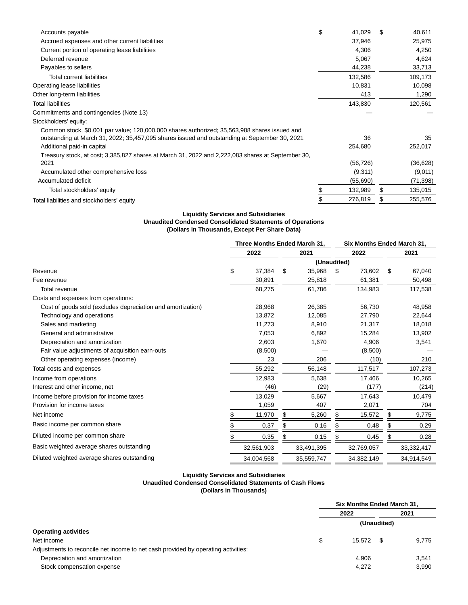| Accounts payable                                                                                                                                                                              | \$<br>41,029 | \$. | 40,611    |
|-----------------------------------------------------------------------------------------------------------------------------------------------------------------------------------------------|--------------|-----|-----------|
| Accrued expenses and other current liabilities                                                                                                                                                | 37,946       |     | 25,975    |
| Current portion of operating lease liabilities                                                                                                                                                | 4,306        |     | 4,250     |
| Deferred revenue                                                                                                                                                                              | 5,067        |     | 4,624     |
| Payables to sellers                                                                                                                                                                           | 44,238       |     | 33,713    |
| <b>Total current liabilities</b>                                                                                                                                                              | 132,586      |     | 109,173   |
| Operating lease liabilities                                                                                                                                                                   | 10,831       |     | 10,098    |
| Other long-term liabilities                                                                                                                                                                   | 413          |     | 1,290     |
| <b>Total liabilities</b>                                                                                                                                                                      | 143,830      |     | 120,561   |
| Commitments and contingencies (Note 13)                                                                                                                                                       |              |     |           |
| Stockholders' equity:                                                                                                                                                                         |              |     |           |
| Common stock, \$0.001 par value: 120,000,000 shares authorized: 35,563,988 shares issued and<br>outstanding at March 31, 2022; 35,457,095 shares issued and outstanding at September 30, 2021 | 36           |     | 35        |
| Additional paid-in capital                                                                                                                                                                    | 254,680      |     | 252,017   |
| Treasury stock, at cost; 3,385,827 shares at March 31, 2022 and 2,222,083 shares at September 30,                                                                                             |              |     |           |
| 2021                                                                                                                                                                                          | (56, 726)    |     | (36, 628) |
| Accumulated other comprehensive loss                                                                                                                                                          | (9,311)      |     | (9,011)   |
| Accumulated deficit                                                                                                                                                                           | (55,690)     |     | (71,398)  |
| Total stockholders' equity                                                                                                                                                                    | 132,989      | £.  | 135,015   |
| Total liabilities and stockholders' equity                                                                                                                                                    | 276,819      |     | 255,576   |

# **Liquidity Services and Subsidiaries Unaudited Condensed Consolidated Statements of Operations (Dollars in Thousands, Except Per Share Data)**

|                                                             |    | Three Months Ended March 31, |     |             | Six Months Ended March 31, |            |    |              |  |
|-------------------------------------------------------------|----|------------------------------|-----|-------------|----------------------------|------------|----|--------------|--|
|                                                             |    | 2022                         |     | 2021        |                            | 2022       |    | 2021         |  |
|                                                             |    |                              |     | (Unaudited) |                            |            |    |              |  |
| Revenue                                                     | \$ | 37,384                       | \$  | 35,968      | \$                         | 73,602     | \$ | 67,040       |  |
| Fee revenue                                                 |    | 30,891                       |     | 25,818      |                            | 61,381     |    | 50,498       |  |
| Total revenue                                               |    | 68,275                       |     | 61,786      |                            | 134,983    |    | 117,538      |  |
| Costs and expenses from operations:                         |    |                              |     |             |                            |            |    |              |  |
| Cost of goods sold (excludes depreciation and amortization) |    | 28,968                       |     | 26,385      |                            | 56,730     |    | 48,958       |  |
| Technology and operations                                   |    | 13,872                       |     | 12,085      |                            | 27,790     |    | 22,644       |  |
| Sales and marketing                                         |    | 11,273                       |     | 8,910       |                            | 21,317     |    | 18,018       |  |
| General and administrative                                  |    | 7,053                        |     | 6,892       |                            | 15,284     |    | 13,902       |  |
| Depreciation and amortization                               |    | 2,603                        |     | 1,670       |                            | 4,906      |    | 3,541        |  |
| Fair value adjustments of acquisition earn-outs             |    | (8,500)                      |     |             |                            | (8,500)    |    |              |  |
| Other operating expenses (income)                           |    | 23                           |     | 206         |                            | (10)       |    | 210          |  |
| Total costs and expenses                                    |    | 55,292                       |     | 56,148      |                            | 117,517    |    | 107,273      |  |
| Income from operations                                      |    | 12,983                       |     | 5,638       |                            | 17,466     |    | 10,265       |  |
| Interest and other income, net                              |    | (46)                         |     | (29)        |                            | (177)      |    | (214)        |  |
| Income before provision for income taxes                    |    | 13,029                       |     | 5,667       |                            | 17,643     |    | 10,479       |  |
| Provision for income taxes                                  |    | 1,059                        |     | 407         |                            | 2,071      |    | 704          |  |
| Net income                                                  |    | 11,970                       | \$. | 5,260       | \$                         | 15,572     | \$ | 9,775        |  |
| Basic income per common share                               |    | 0.37                         |     | 0.16        |                            | 0.48       |    | 0.29         |  |
| Diluted income per common share                             |    | 0.35                         |     | 0.15        |                            | 0.45       |    | 0.28         |  |
| Basic weighted average shares outstanding                   |    | 32,561,903                   |     | 33,491,395  |                            | 32,769,057 |    | 33, 332, 417 |  |
| Diluted weighted average shares outstanding                 |    | 34,004,568                   |     | 35,559,747  |                            | 34,382,149 |    | 34,914,549   |  |

## **Liquidity Services and Subsidiaries**

#### **Unaudited Condensed Consolidated Statements of Cash Flows**

**(Dollars in Thousands)**

|                                                                                   |             | Six Months Ended March 31, |  |       |  |  |  |
|-----------------------------------------------------------------------------------|-------------|----------------------------|--|-------|--|--|--|
|                                                                                   |             | 2022                       |  | 2021  |  |  |  |
|                                                                                   | (Unaudited) |                            |  |       |  |  |  |
| <b>Operating activities</b>                                                       |             |                            |  |       |  |  |  |
| Net income                                                                        | \$          | 15.572 \$                  |  | 9.775 |  |  |  |
| Adjustments to reconcile net income to net cash provided by operating activities: |             |                            |  |       |  |  |  |
| Depreciation and amortization                                                     |             | 4.906                      |  | 3.541 |  |  |  |
| Stock compensation expense                                                        |             | 4,272                      |  | 3,990 |  |  |  |
|                                                                                   |             |                            |  |       |  |  |  |